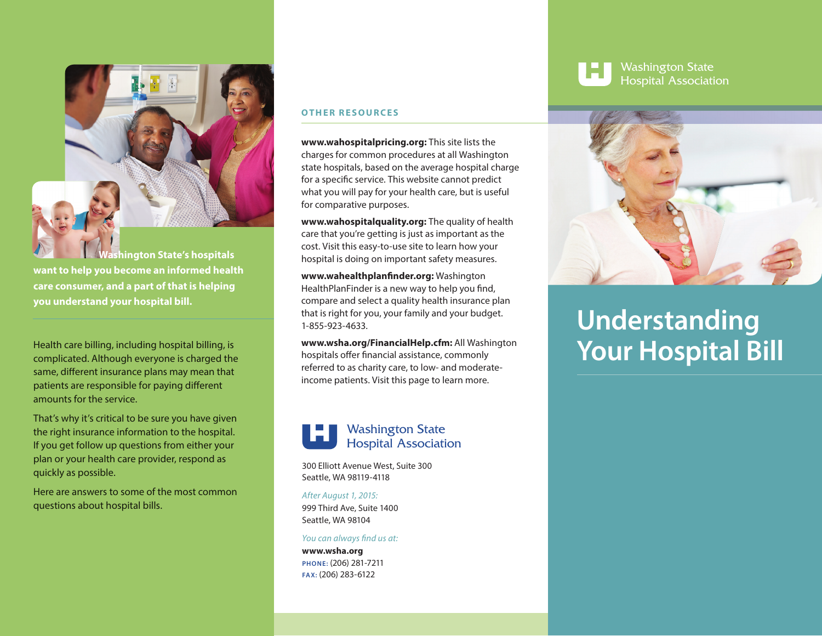

**want to help you become an informed health care consumer, and a part of that is helping you understand your hospital bill.**

Health care billing, including hospital billing, is complicated. Although everyone is charged the same, different insurance plans may mean that patients are responsible for paying different amounts for the service.

That's why it's critical to be sure you have given the right insurance information to the hospital. If you get follow up questions from either your plan or your health care provider, respond as quickly as possible.

Here are answers to some of the most common questions about hospital bills.

#### **OTHER RESOURCES**

**www.wahospitalpricing.org:** This site lists the charges for common procedures at all Washington state hospitals, based on the average hospital charge for a specific service. This website cannot predict what you will pay for your health care, but is useful for comparative purposes.

**www.wahospitalquality.org:** The quality of health care that you're getting is just as important as the cost. Visit this easy-to-use site to learn how your hospital is doing on important safety measures.

www.wahealthplanfinder.org: Washington HealthPlanFinder is a new way to help you find, compare and select a quality health insurance plan that is right for you, your family and your budget. 1-855-923-4633.

**www.wsha.org/FinancialHelp.cfm:** All Washington hospitals offer financial assistance, commonly referred to as charity care, to low- and moderateincome patients. Visit this page to learn more.

# Washington State Hospital Association

300 Elliott Avenue West, Suite 300 Seattle, WA 98119-4118

#### *After August 1, 2015:*

999 Third Ave, Suite 1400 Seattle, WA 98104

#### *You can always find us at:*

**www.wsha.org PHONE:** (206) 281-7211 **FAX:** (206) 283-6122



Washington State Hospital Association



# **Understanding Your Hospital Bill**